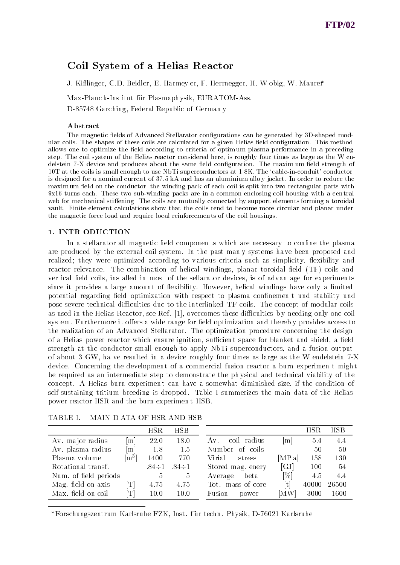# Coil System of a Helias Reactor

J. Kißlinger, C.D. Beidler, E. Harmey er, F. Herrnegger, H. W obig, W. Maurer\*

Max-Planc k-Institut für Plasmaph ysik, EURATOM-Ass.

D-85748 Garc hing, Federal Republic of German y

#### Abstract

The magnetic fields of Advanced Stellarator configurations can be generated by 3D-shaped modular coils. The shapes of these coils are calculated for a given Helias field configuration. This method allows one to optimize the field according to criteria of optimum plasma performance in a preceding step. The coil system of the Helias reactor considered here, is roughly four times as large as the W endelstein 7-X device and produces about the same field configuration. The maxim um field strength of 10T at the coils is small enough to use NbTi superconductors at 1.8K. The `cable-in-conduit' conductor is designed for a nominal current of 37.5 kA and has an aluminium allo y jacket. In order to reduce the maxim um field on the conductor, the winding pack of each coil is split into two rectangular parts with 9x16 turns each. These two sub-winding packs are in a common enclosing coil housing with a cen tral web for mechanical stiffening. The coils are mutually connected by support elements forming a toroidal vault. Finite-element calculations show that the coils tend to become more circular and planar under the magnetic force load and require local reinforcemen ts of the coil housings.

### 1. INTR ODUCTION

In a stellarator all magnetic field components which are necessary to confine the plasma are produced by the external coil system. In the past man y systems ha ve been proposed and realized; they were optimized according to various criteria such as simplicity, flexibility and reactor relevance. The combination of helical windings, planar toroidal field (TF) coils and vertical field coils, installed in most of the sellarator devices, is of advantage for experiments since it provides a large amount of flexibility. However, helical windings have only a limited potential regarding field optimization with respect to plasma confinemen t und stability und pose severe technical difficulties due to the interlinked TF coils. The concept of modular coils as used in the Helias Reactor, see Ref.  $[1]$ , overcomes these difficulties by needing only one coil system. Furthermore it offers a wide range for field optimization and thereby provides access to the realization of an Advanced Stellarator. The optimization procedure concerning the design of a Helias power reactor which ensure ignition, sufficient space for blanket and shield, a field strength at the conductor small enough to apply NbTi superconductors, and a fusion output of about 3 GW, ha ve resulted in a device roughly four times as large as the W endelstein 7-X device. Concerning the development of a commercial fusion reactor a burn experimen t might be required as an intermediate step to demonstrate the ph ysical and technical viability of the concept. A Helias burn experimen t can have a somewhat diminished size, if the condition of self-sustaining tritium breeding is dropped. Table I summerizes the main data of the Helias power reactor HSR and the burn experimen t HSB.

|                       |                            | HSR          | HSB                     |                     |                             | $_{\rm HSR}$ |       |
|-----------------------|----------------------------|--------------|-------------------------|---------------------|-----------------------------|--------------|-------|
| Av. major radius      | m                          | 22.0         | 18.0                    | coil radius<br>A v. | m                           | 5.4          |       |
| Av. plasma radius     | m                          | 1.8          | 1.5                     | Number<br>of coils  |                             | 50           |       |
| Plasma volume         | $\lceil m^3 \rceil$        | 1400         | 770                     | Virial<br>stress    | [MP a]                      | 158          |       |
| Rotational transf.    |                            | $.84 \div 1$ | $84 \div 1$             | Stored mag. enery   | $\left[ \mathrm{GJ}\right]$ | 100          |       |
| Num. of field periods |                            | 5            | $\overline{\mathbf{5}}$ | beta<br>Average     | [%]                         | 4.5          |       |
| Mag. field on axis    | $\lceil \mathrm{T} \rceil$ | 4.75         | 4.75                    | Tot. mass of core   | $\lceil \text{t} \rceil$    | 40000        | 26500 |
| Max. field on coil    | $\lceil \mathrm{T} \rceil$ | 10.0         | 10.0                    | Fusion<br>power     | MW]                         | 3000         | 1600  |

TABLE I. MAIN D ATA OF HSR AND HSB

Forschungszentrum Karlsruhe FZK, Inst. fur techn. Physik, D-76021 Karlsruhe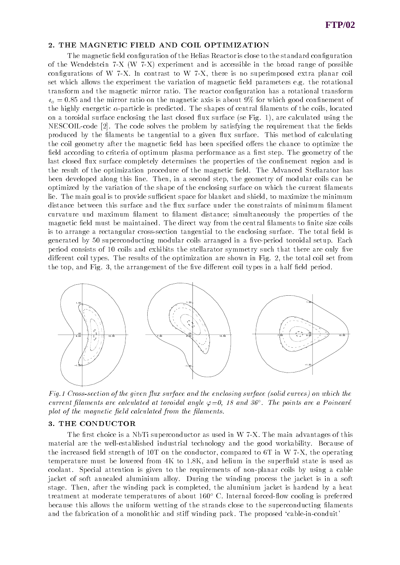#### 2. THE MAGNETIC FIELD AND COIL OPTIMIZATION

The magnetic field configuration of the Helias Reactor is close to the standard configuration of the Wendelstein 7-X (W 7-X) experiment and is accessible in the broad range of possible configurations of W 7-X. In contrast to W 7-X, there is no superimposed extra planar coil set which allows the experiment the variation of magnetic field parameters e.g. the rotational transform and the magnetic mirror ratio. The reactor conguration has a rotational transform  $t<sub>o</sub> = 0.85$  and the mirror ratio on the magnetic axis is about 9% for which good confinement of the highly energetic  $\alpha$ -particle is predicted. The shapes of central filaments of the coils, located on a toroidal surface enclosing the last closed flux surface (se Fig. 1), are calculated using the NESCOIL-code [2]. The code solves the problem by satisfying the requirement that the fields produced by the filaments be tangential to a given flux surface. This method of calculating the coil geometry after the magnetic field has been specified offers the chance to optimize the field according to criteria of optimum plasma performance as a first step. The geometry of the last closed flux surface completely determines the properties of the confinement region and is the result of the optimization procedure of the magnetic field. The Advanced Stellarator has been developed along this line. Then, in a second step, the geometry of modular coils can be optimized by the variation of the shape of the enclosing surface on which the current laments lie. The main goal is to provide sufficient space for blanket and shield, to maximize the minimum distance between this surface and the flux surface under the constraints of minimum filament curvature und maximum lament to lament distance; simultaneously the properties of the magnetic field must be maintained. The direct way from the central filaments to finite size coils is to arrange a rectangular cross-section tangential to the enclosing surface. The total field is generated by 50 superconducting modular coils arranged in a five-period toroidal setup. Each period consists of 10 coils and exhibits the stellarator symmetry such that there are only five different coil types. The results of the optimization are shown in Fig. 2, the total coil set from the top, and Fig. 3, the arrangement of the five different coil types in a half field period.



Fig.1 Cross-section of the given flux surface and the enclosing surface (solid curves) on which the current filaments are calculated at toroidal angle  $\varphi{=}0,$  18 and 36°. The points are a Poincare plot of the magnetic field calculated from the filaments.

#### 3. THE CONDUCTOR

The first choice is a NbTi superconductor as used in W  $7-X$ . The main advantages of this material are the well-established industrial technology and the good workability. Because of the increased field strength of 10T on the conductor, compared to 6T in W 7-X, the operating temperature must be lowered from 4K to 1.8K, and helium in the superfluid state is used as coolant. Special attention is given to the requirements of non-planar coils by using a cable jacket of soft annealed aluminium alloy. During the winding process the jacket is in a soft stage. Then, after the winding pack is completed, the aluminium jacket is hardend by a heat treatment at moderate temperatures of about 160° C. Internal forced-flow cooling is preferred because this allows the uniform wetting of the strands close to the superconducting laments and the fabrication of a monolithic and stiff winding pack. The proposed 'cable-in-conduit'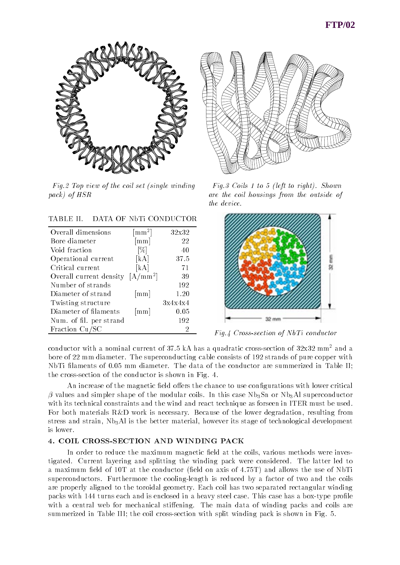

Fig.2 Top view of the coil set (single windingpack) of HSR

**TABLE II.** DATA OF NbTi CONDUCTOR

| Overall dimensions      | $\lceil$ mm <sup>2</sup> ] | 32x32   |
|-------------------------|----------------------------|---------|
| Bore diameter           | $\lceil \text{mm} \rceil$  | 22      |
| Void fraction           | [%]                        | 40      |
| Operational current     | [kA]                       | 37.5    |
| Critical current        | [kA]                       | 71      |
| Overall current density | $[A/mm^2]$                 | 39      |
| Number of strands       |                            | 192     |
| Diameter of strand      | $\lceil \text{mm} \rceil$  | 1.20    |
| Twisting structure      |                            | 3x4x4x4 |
| Diameter of filaments   | $\lceil \text{mm} \rceil$  | 0.05    |
| Num. of fil. per strand |                            | 192     |
| Fraction Cu/SC          |                            | 2       |



Fig.3 Coils 1 to 5 (left to right). Shownare the coil housings from the outside ofthe device.



Fig.4 Cross-section of NbTi conductor

conductor with a nominal current of 37.5 kA has a quadratic cross-section of  $32x32$  mm<sup>2</sup> and a bore of 22 mm diameter. The superconducting cable consists of 192 strands of pure copper with NbTi filaments of 0.05 mm diameter. The data of the conductor are summerized in Table II; the cross-section of the conductor is shown in Fig. 4.

An increase of the magnetic field offers the chance to use configurations with lower critical  $\beta$  values and simpler shape of the modular coils. In this case Nb<sub>3</sub>Sn or Nb<sub>3</sub>Al superconductor with its technical constraints and the wind and react technique as forseen in ITER must be used. For both materials R&D work is necessary. Because of the lower degradation, resulting from stress and strain,  $Nb<sub>3</sub>Al$  is the better material, however its stage of technological development is lower.

## 4. COIL CROSS-SECTION AND WINDING PACK

In order to reduce the maximum magnetic field at the coils, various methods were investigated. Current layering and splitting the winding pack were considered. The latter led to a maximum field of 10T at the conductor (field on axis of 4.75T) and allows the use of NbTi superconductors. Furthermore the cooling-length is reduced by a factor of two and the coils are properly aligned to the toroidal geometry. Each coil has two separated rectangular winding packs with 144 turns each and is enclosed in a heavy steel case. This case has a box-type profile with a central web for mechanical stiffening. The main data of winding packs and coils are summerized in Table III; the coil cross-section with split winding pack is shown in Fig. 5.